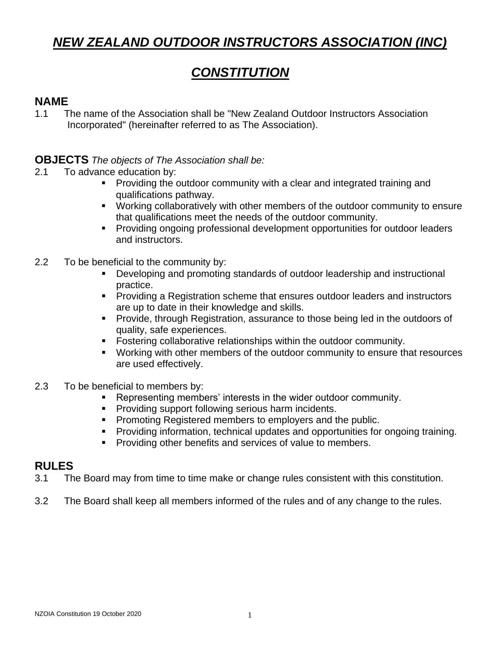# *NEW ZEALAND OUTDOOR INSTRUCTORS ASSOCIATION (INC)*

# *CONSTITUTION*

# **NAME**

1.1 The name of the Association shall be "New Zealand Outdoor Instructors Association Incorporated" (hereinafter referred to as The Association).

### **OBJECTS** *The objects of The Association shall be:*

- 2.1 To advance education by:
	- **Providing the outdoor community with a clear and integrated training and** qualifications pathway.
	- Working collaboratively with other members of the outdoor community to ensure that qualifications meet the needs of the outdoor community.
	- Providing ongoing professional development opportunities for outdoor leaders and instructors.
- 2.2 To be beneficial to the community by:
	- Developing and promoting standards of outdoor leadership and instructional practice.
	- Providing a Registration scheme that ensures outdoor leaders and instructors are up to date in their knowledge and skills.
	- **Provide, through Registration, assurance to those being led in the outdoors of** quality, safe experiences.
	- Fostering collaborative relationships within the outdoor community.
	- Working with other members of the outdoor community to ensure that resources are used effectively.
- 2.3 To be beneficial to members by:
	- Representing members' interests in the wider outdoor community.
	- Providing support following serious harm incidents.
	- Promoting Registered members to employers and the public.
	- **Providing information, technical updates and opportunities for ongoing training.**
	- Providing other benefits and services of value to members.

## **RULES**

- 3.1 The Board may from time to time make or change rules consistent with this constitution.
- 3.2 The Board shall keep all members informed of the rules and of any change to the rules.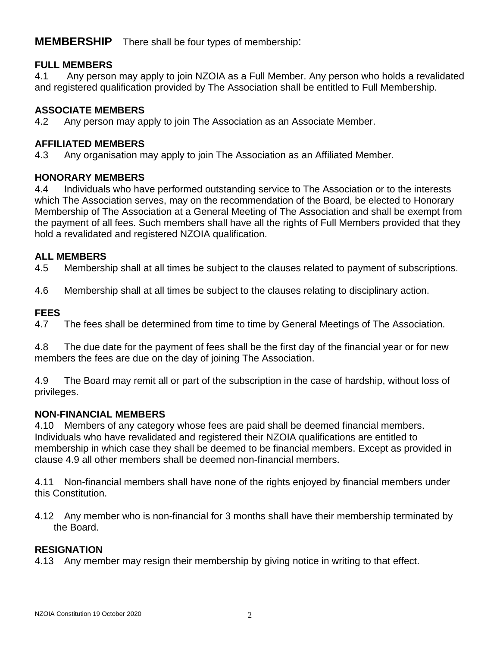**MEMBERSHIP** There shall be four types of membership:

### **FULL MEMBERS**

4.1 Any person may apply to join NZOIA as a Full Member. Any person who holds a revalidated and registered qualification provided by The Association shall be entitled to Full Membership.

### **ASSOCIATE MEMBERS**

4.2 Any person may apply to join The Association as an Associate Member.

#### **AFFILIATED MEMBERS**

4.3 Any organisation may apply to join The Association as an Affiliated Member.

#### **HONORARY MEMBERS**

4.4 Individuals who have performed outstanding service to The Association or to the interests which The Association serves, may on the recommendation of the Board, be elected to Honorary Membership of The Association at a General Meeting of The Association and shall be exempt from the payment of all fees. Such members shall have all the rights of Full Members provided that they hold a revalidated and registered NZOIA qualification.

### **ALL MEMBERS**

4.5 Membership shall at all times be subject to the clauses related to payment of subscriptions.

4.6 Membership shall at all times be subject to the clauses relating to disciplinary action.

#### **FEES**

4.7 The fees shall be determined from time to time by General Meetings of The Association.

4.8 The due date for the payment of fees shall be the first day of the financial year or for new members the fees are due on the day of joining The Association.

4.9 The Board may remit all or part of the subscription in the case of hardship, without loss of privileges.

### **NON-FINANCIAL MEMBERS**

4.10 Members of any category whose fees are paid shall be deemed financial members. Individuals who have revalidated and registered their NZOIA qualifications are entitled to membership in which case they shall be deemed to be financial members. Except as provided in clause 4.9 all other members shall be deemed non-financial members.

4.11 Non-financial members shall have none of the rights enjoyed by financial members under this Constitution.

4.12 Any member who is non-financial for 3 months shall have their membership terminated by the Board.

### **RESIGNATION**

4.13 Any member may resign their membership by giving notice in writing to that effect.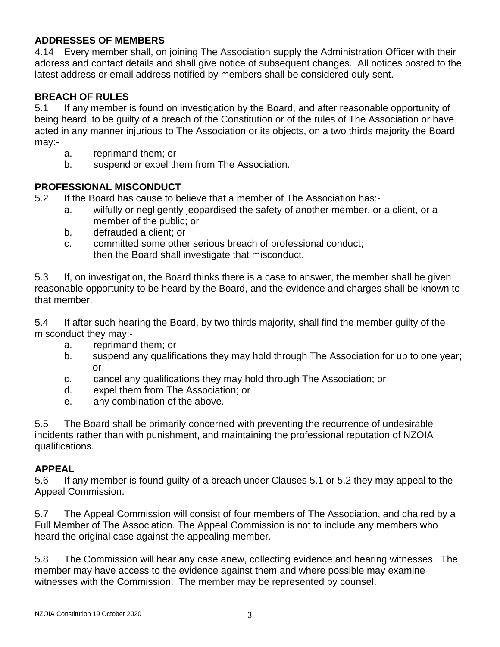### **ADDRESSES OF MEMBERS**

4.14 Every member shall, on joining The Association supply the Administration Officer with their address and contact details and shall give notice of subsequent changes. All notices posted to the latest address or email address notified by members shall be considered duly sent.

#### **BREACH OF RULES**

5.1 If any member is found on investigation by the Board, and after reasonable opportunity of being heard, to be guilty of a breach of the Constitution or of the rules of The Association or have acted in any manner injurious to The Association or its objects, on a two thirds majority the Board may:-

- a. reprimand them; or
- b. suspend or expel them from The Association.

#### **PROFESSIONAL MISCONDUCT**

- 5.2 If the Board has cause to believe that a member of The Association has:
	- a. wilfully or negligently jeopardised the safety of another member, or a client, or a member of the public; or
	- b. defrauded a client; or
	- c. committed some other serious breach of professional conduct; then the Board shall investigate that misconduct.

5.3 If, on investigation, the Board thinks there is a case to answer, the member shall be given reasonable opportunity to be heard by the Board, and the evidence and charges shall be known to that member.

5.4 If after such hearing the Board, by two thirds majority, shall find the member guilty of the misconduct they may:-

- a. reprimand them; or
- b. suspend any qualifications they may hold through The Association for up to one year; or
- c. cancel any qualifications they may hold through The Association; or
- d. expel them from The Association; or
- e. any combination of the above.

5.5 The Board shall be primarily concerned with preventing the recurrence of undesirable incidents rather than with punishment, and maintaining the professional reputation of NZOIA qualifications.

#### **APPEAL**

5.6 If any member is found guilty of a breach under Clauses 5.1 or 5.2 they may appeal to the Appeal Commission.

5.7 The Appeal Commission will consist of four members of The Association, and chaired by a Full Member of The Association. The Appeal Commission is not to include any members who heard the original case against the appealing member.

5.8 The Commission will hear any case anew, collecting evidence and hearing witnesses. The member may have access to the evidence against them and where possible may examine witnesses with the Commission. The member may be represented by counsel.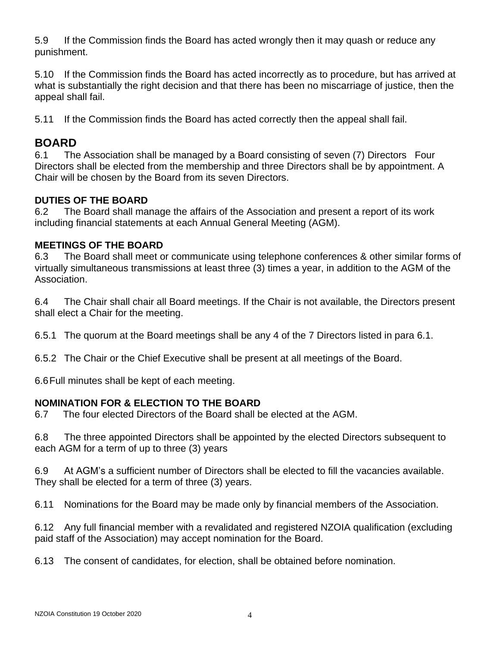5.9 If the Commission finds the Board has acted wrongly then it may quash or reduce any punishment.

5.10 If the Commission finds the Board has acted incorrectly as to procedure, but has arrived at what is substantially the right decision and that there has been no miscarriage of justice, then the appeal shall fail.

5.11 If the Commission finds the Board has acted correctly then the appeal shall fail.

# **BOARD**

6.1 The Association shall be managed by a Board consisting of seven (7) Directors Four Directors shall be elected from the membership and three Directors shall be by appointment. A Chair will be chosen by the Board from its seven Directors.

## **DUTIES OF THE BOARD**

6.2 The Board shall manage the affairs of the Association and present a report of its work including financial statements at each Annual General Meeting (AGM).

### **MEETINGS OF THE BOARD**

6.3 The Board shall meet or communicate using telephone conferences & other similar forms of virtually simultaneous transmissions at least three (3) times a year, in addition to the AGM of the Association.

6.4 The Chair shall chair all Board meetings. If the Chair is not available, the Directors present shall elect a Chair for the meeting.

6.5.1 The quorum at the Board meetings shall be any 4 of the 7 Directors listed in para 6.1.

6.5.2 The Chair or the Chief Executive shall be present at all meetings of the Board.

6.6Full minutes shall be kept of each meeting.

### **NOMINATION FOR & ELECTION TO THE BOARD**

6.7 The four elected Directors of the Board shall be elected at the AGM.

6.8 The three appointed Directors shall be appointed by the elected Directors subsequent to each AGM for a term of up to three (3) years

6.9 At AGM's a sufficient number of Directors shall be elected to fill the vacancies available. They shall be elected for a term of three (3) years.

6.11 Nominations for the Board may be made only by financial members of the Association.

6.12 Any full financial member with a revalidated and registered NZOIA qualification (excluding paid staff of the Association) may accept nomination for the Board.

6.13 The consent of candidates, for election, shall be obtained before nomination.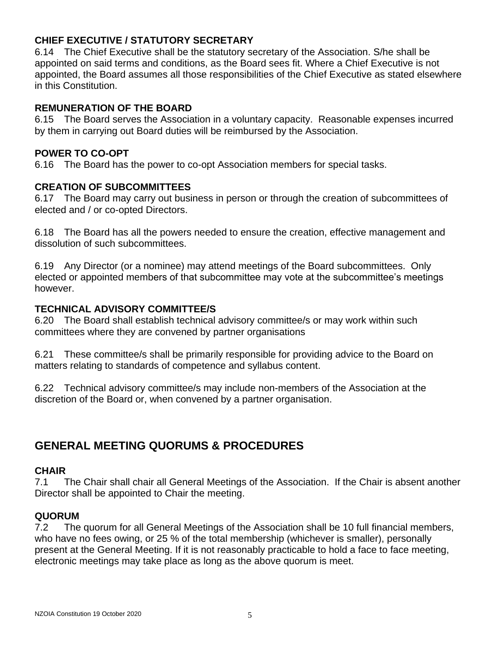### **CHIEF EXECUTIVE / STATUTORY SECRETARY**

6.14 The Chief Executive shall be the statutory secretary of the Association. S/he shall be appointed on said terms and conditions, as the Board sees fit. Where a Chief Executive is not appointed, the Board assumes all those responsibilities of the Chief Executive as stated elsewhere in this Constitution.

#### **REMUNERATION OF THE BOARD**

6.15 The Board serves the Association in a voluntary capacity. Reasonable expenses incurred by them in carrying out Board duties will be reimbursed by the Association.

#### **POWER TO CO-OPT**

6.16 The Board has the power to co-opt Association members for special tasks.

#### **CREATION OF SUBCOMMITTEES**

6.17 The Board may carry out business in person or through the creation of subcommittees of elected and / or co-opted Directors.

6.18 The Board has all the powers needed to ensure the creation, effective management and dissolution of such subcommittees.

6.19 Any Director (or a nominee) may attend meetings of the Board subcommittees. Only elected or appointed members of that subcommittee may vote at the subcommittee's meetings however.

#### **TECHNICAL ADVISORY COMMITTEE/S**

6.20 The Board shall establish technical advisory committee/s or may work within such committees where they are convened by partner organisations

6.21 These committee/s shall be primarily responsible for providing advice to the Board on matters relating to standards of competence and syllabus content.

6.22 Technical advisory committee/s may include non-members of the Association at the discretion of the Board or, when convened by a partner organisation.

# **GENERAL MEETING QUORUMS & PROCEDURES**

#### **CHAIR**

7.1 The Chair shall chair all General Meetings of the Association. If the Chair is absent another Director shall be appointed to Chair the meeting.

#### **QUORUM**

7.2 The quorum for all General Meetings of the Association shall be 10 full financial members, who have no fees owing, or 25 % of the total membership (whichever is smaller), personally present at the General Meeting. If it is not reasonably practicable to hold a face to face meeting, electronic meetings may take place as long as the above quorum is meet.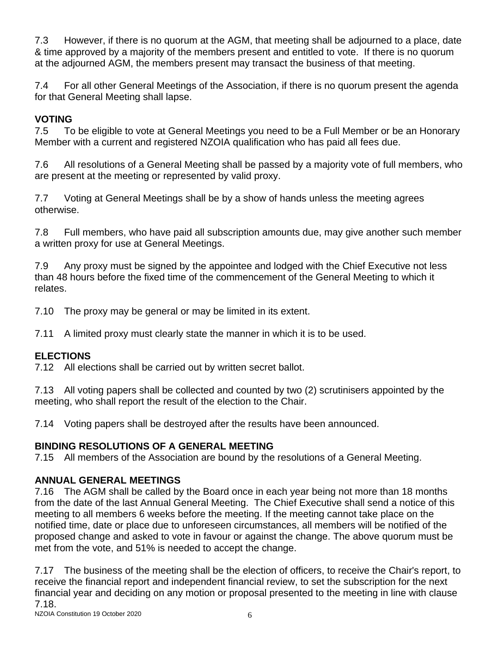7.3 However, if there is no quorum at the AGM, that meeting shall be adjourned to a place, date & time approved by a majority of the members present and entitled to vote. If there is no quorum at the adjourned AGM, the members present may transact the business of that meeting.

7.4 For all other General Meetings of the Association, if there is no quorum present the agenda for that General Meeting shall lapse.

# **VOTING**

7.5 To be eligible to vote at General Meetings you need to be a Full Member or be an Honorary Member with a current and registered NZOIA qualification who has paid all fees due.

7.6 All resolutions of a General Meeting shall be passed by a majority vote of full members, who are present at the meeting or represented by valid proxy.

7.7 Voting at General Meetings shall be by a show of hands unless the meeting agrees otherwise.

7.8 Full members, who have paid all subscription amounts due, may give another such member a written proxy for use at General Meetings.

7.9 Any proxy must be signed by the appointee and lodged with the Chief Executive not less than 48 hours before the fixed time of the commencement of the General Meeting to which it relates.

7.10 The proxy may be general or may be limited in its extent.

7.11 A limited proxy must clearly state the manner in which it is to be used.

## **ELECTIONS**

7.12 All elections shall be carried out by written secret ballot.

7.13 All voting papers shall be collected and counted by two (2) scrutinisers appointed by the meeting, who shall report the result of the election to the Chair.

7.14 Voting papers shall be destroyed after the results have been announced.

## **BINDING RESOLUTIONS OF A GENERAL MEETING**

7.15 All members of the Association are bound by the resolutions of a General Meeting.

# **ANNUAL GENERAL MEETINGS**

7.16 The AGM shall be called by the Board once in each year being not more than 18 months from the date of the last Annual General Meeting. The Chief Executive shall send a notice of this meeting to all members 6 weeks before the meeting. If the meeting cannot take place on the notified time, date or place due to unforeseen circumstances, all members will be notified of the proposed change and asked to vote in favour or against the change. The above quorum must be met from the vote, and 51% is needed to accept the change.

7.17 The business of the meeting shall be the election of officers, to receive the Chair's report, to receive the financial report and independent financial review, to set the subscription for the next financial year and deciding on any motion or proposal presented to the meeting in line with clause 7.18.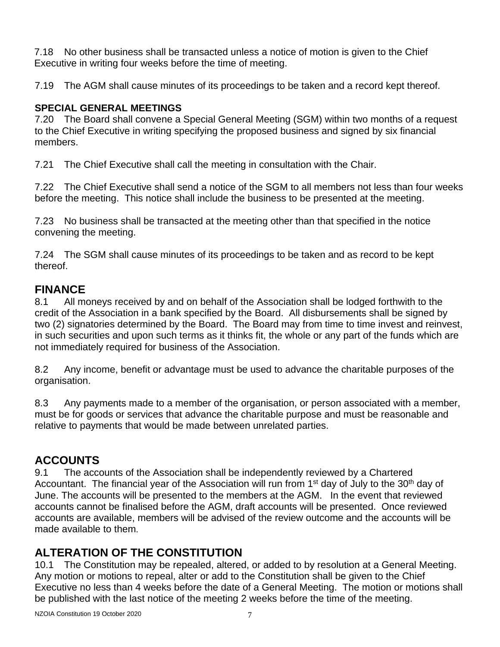7.18 No other business shall be transacted unless a notice of motion is given to the Chief Executive in writing four weeks before the time of meeting.

7.19 The AGM shall cause minutes of its proceedings to be taken and a record kept thereof.

### **SPECIAL GENERAL MEETINGS**

7.20 The Board shall convene a Special General Meeting (SGM) within two months of a request to the Chief Executive in writing specifying the proposed business and signed by six financial members.

7.21 The Chief Executive shall call the meeting in consultation with the Chair.

7.22 The Chief Executive shall send a notice of the SGM to all members not less than four weeks before the meeting. This notice shall include the business to be presented at the meeting.

7.23 No business shall be transacted at the meeting other than that specified in the notice convening the meeting.

7.24 The SGM shall cause minutes of its proceedings to be taken and as record to be kept thereof.

# **FINANCE**

8.1 All moneys received by and on behalf of the Association shall be lodged forthwith to the credit of the Association in a bank specified by the Board. All disbursements shall be signed by two (2) signatories determined by the Board. The Board may from time to time invest and reinvest, in such securities and upon such terms as it thinks fit, the whole or any part of the funds which are not immediately required for business of the Association.

8.2 Any income, benefit or advantage must be used to advance the charitable purposes of the organisation.

8.3 Any payments made to a member of the organisation, or person associated with a member, must be for goods or services that advance the charitable purpose and must be reasonable and relative to payments that would be made between unrelated parties.

# **ACCOUNTS**

9.1 The accounts of the Association shall be independently reviewed by a Chartered Accountant. The financial year of the Association will run from 1<sup>st</sup> day of July to the 30<sup>th</sup> day of June. The accounts will be presented to the members at the AGM. In the event that reviewed accounts cannot be finalised before the AGM, draft accounts will be presented. Once reviewed accounts are available, members will be advised of the review outcome and the accounts will be made available to them.

# **ALTERATION OF THE CONSTITUTION**

10.1 The Constitution may be repealed, altered, or added to by resolution at a General Meeting. Any motion or motions to repeal, alter or add to the Constitution shall be given to the Chief Executive no less than 4 weeks before the date of a General Meeting. The motion or motions shall be published with the last notice of the meeting 2 weeks before the time of the meeting.